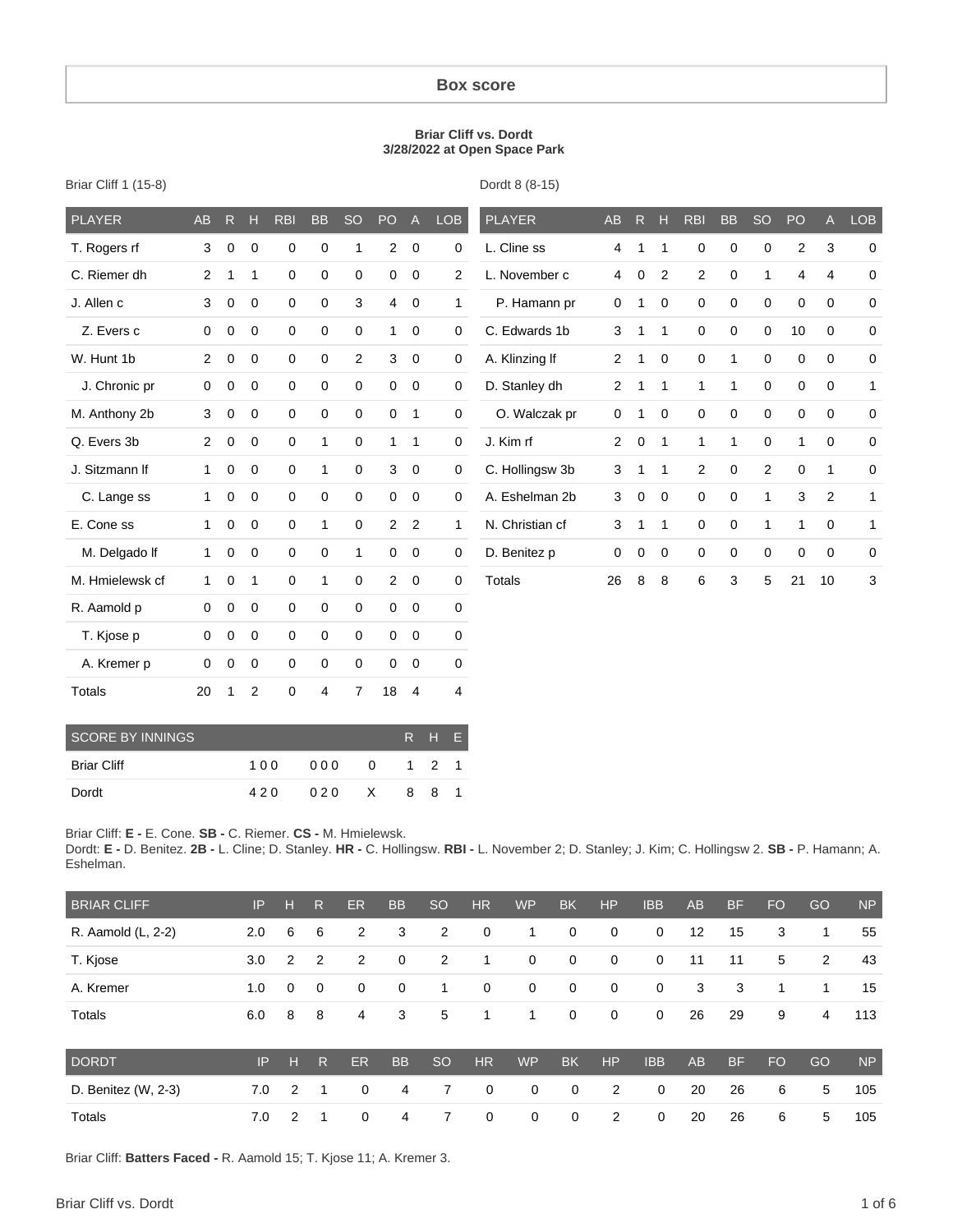#### **Box score**

#### **Briar Cliff vs. Dordt 3/28/2022 at Open Space Park**

| <b>PLAYER</b>   | <b>AB</b> | R           | Н              | <b>RBI</b>  | <b>BB</b>    | <b>SO</b>      | PO             | $\overline{A}$ | <b>LOB</b>     | <b>PLAYER</b>   | AB             | R           | H            | <b>RBI</b>   | <b>BB</b>    | <b>SO</b>      | PO             | A              | <b>LOB</b>   |
|-----------------|-----------|-------------|----------------|-------------|--------------|----------------|----------------|----------------|----------------|-----------------|----------------|-------------|--------------|--------------|--------------|----------------|----------------|----------------|--------------|
| T. Rogers rf    | 3         | $\mathbf 0$ | $\mathbf 0$    | $\mathbf 0$ | $\mathbf 0$  | 1              | $\overline{2}$ | $\mathbf 0$    | 0              | L. Cline ss     | 4              | 1           | 1            | $\mathbf 0$  | $\mathbf 0$  | $\mathbf 0$    | $\overline{2}$ | 3              | $\mathbf 0$  |
| C. Riemer dh    | 2         |             | 1              | $\mathbf 0$ | $\mathbf 0$  | $\mathbf 0$    | 0              | $\mathbf 0$    | $\overline{2}$ | L. November c   | 4              | $\mathbf 0$ | 2            | 2            | $\mathbf 0$  | 1              | 4              | $\overline{4}$ | $\mathbf 0$  |
| J. Allen c      | 3         | $\mathbf 0$ | 0              | $\mathbf 0$ | 0            | 3              | $\overline{4}$ | 0              | $\mathbf{1}$   | P. Hamann pr    | 0              | 1           | 0            | 0            | $\mathbf 0$  | 0              | 0              | 0              | 0            |
| Z. Evers c      | 0         | 0           | $\mathbf 0$    | 0           | 0            | 0              | $\mathbf{1}$   | 0              | 0              | C. Edwards 1b   | 3              | 1           | 1            | 0            | $\mathbf 0$  | $\mathbf 0$    | 10             | 0              | $\mathbf 0$  |
| W. Hunt 1b      | 2         | 0           | 0              | 0           | 0            | $\overline{2}$ | 3              | $\mathbf 0$    | $\mathbf 0$    | A. Klinzing If  | $\overline{2}$ | 1           | 0            | 0            | $\mathbf{1}$ | 0              | 0              | 0              | $\mathbf 0$  |
| J. Chronic pr   | 0         | 0           | 0              | $\mathbf 0$ | 0            | $\mathbf 0$    | $\mathbf 0$    | $\mathbf 0$    | 0              | D. Stanley dh   | 2              | 1           | $\mathbf{1}$ | 1            | 1            | 0              | 0              | 0              | $\mathbf{1}$ |
| M. Anthony 2b   | 3         | $\mathbf 0$ | $\mathbf 0$    | $\mathbf 0$ | $\mathbf 0$  | $\mathbf 0$    | $\mathbf 0$    | $\mathbf{1}$   | $\mathbf 0$    | O. Walczak pr   | 0              | 1           | $\mathbf 0$  | $\mathbf 0$  | $\mathbf 0$  | $\mathbf 0$    | 0              | $\mathbf 0$    | $\mathbf 0$  |
| Q. Evers 3b     | 2         | $\mathbf 0$ | $\mathbf 0$    | $\mathbf 0$ | 1            | $\mathbf 0$    | $\mathbf{1}$   | $\mathbf{1}$   | 0              | J. Kim rf       | $\overline{2}$ | $\mathbf 0$ | $\mathbf{1}$ | $\mathbf{1}$ | $\mathbf{1}$ | $\mathbf 0$    | $\mathbf{1}$   | $\mathbf 0$    | $\mathbf 0$  |
| J. Sitzmann If  | 1         | $\mathbf 0$ | $\mathbf 0$    | $\mathbf 0$ | $\mathbf{1}$ | $\mathbf 0$    | 3              | $\mathbf 0$    | 0              | C. Hollingsw 3b | 3              | 1           | $\mathbf{1}$ | 2            | $\mathbf 0$  | $\overline{2}$ | 0              | 1              | 0            |
| C. Lange ss     | 1         | 0           | $\mathbf 0$    | 0           | 0            | 0              | 0              | 0              | 0              | A. Eshelman 2b  | 3              | 0           | 0            | 0            | $\mathbf 0$  | 1              | 3              | 2              | 1            |
| E. Cone ss      | 1         | $\Omega$    | 0              | $\mathbf 0$ | 1            | $\mathbf 0$    | $\overline{2}$ | 2              | 1              | N. Christian cf | 3              | 1           | 1            | 0            | $\mathbf 0$  | 1              | 1              | 0              | 1            |
| M. Delgado If   | 1         | $\mathbf 0$ | $\mathbf 0$    | $\mathbf 0$ | $\mathbf 0$  | 1              | $\mathbf 0$    | $\mathbf 0$    | $\mathbf 0$    | D. Benitez p    | 0              | $\mathbf 0$ | $\mathbf 0$  | 0            | $\mathbf 0$  | $\mathbf 0$    | 0              | $\mathbf 0$    | $\mathbf 0$  |
| M. Hmielewsk cf | 1         | $\mathbf 0$ | 1              | $\mathbf 0$ | 1            | $\mathbf 0$    | $\overline{2}$ | $\mathbf 0$    | 0              | <b>Totals</b>   | 26             | 8           | 8            | 6            | 3            | 5              | 21             | 10             | 3            |
| R. Aamold p     | 0         | 0           | $\mathbf 0$    | $\mathbf 0$ | $\mathbf 0$  | $\mathbf 0$    | $\mathbf{0}$   | $\mathbf 0$    | $\mathbf 0$    |                 |                |             |              |              |              |                |                |                |              |
| T. Kjose p      | 0         | 0           | $\mathbf 0$    | $\mathbf 0$ | 0            | $\mathbf 0$    | $\mathbf 0$    | $\mathbf 0$    | 0              |                 |                |             |              |              |              |                |                |                |              |
| A. Kremer p     | 0         | 0           | 0              | 0           | 0            | 0              | 0              | 0              | 0              |                 |                |             |              |              |              |                |                |                |              |
| <b>Totals</b>   | 20        | 1           | $\overline{2}$ | 0           | 4            | $\overline{7}$ | 18             | 4              | 4              |                 |                |             |              |              |              |                |                |                |              |

Briar Cliff 1 (15-8)

Dordt 8 (8-15)

| SCORE BY INNINGS   |     |             |     | R H F |  |
|--------------------|-----|-------------|-----|-------|--|
| <b>Briar Cliff</b> | 100 | 000 0 1 2 1 |     |       |  |
| Dordt              | 420 | 020 X       | 881 |       |  |

Briar Cliff: **E -** E. Cone. **SB -** C. Riemer. **CS -** M. Hmielewsk.

Dordt: **E -** D. Benitez. **2B -** L. Cline; D. Stanley. **HR -** C. Hollingsw. **RBI -** L. November 2; D. Stanley; J. Kim; C. Hollingsw 2. **SB -** P. Hamann; A. Eshelman.

| <b>BRIAR CLIFF</b>  | IP  | н           | R.           | ER             | <b>BB</b>   | <sub>SO</sub> | <b>HR</b>   | <b>WP</b>   | <b>BK</b>   | <b>HP</b>   | <b>IBB</b>  | <b>AB</b> | <b>BF</b> | <b>FO</b> | GO             | <b>NP</b> |
|---------------------|-----|-------------|--------------|----------------|-------------|---------------|-------------|-------------|-------------|-------------|-------------|-----------|-----------|-----------|----------------|-----------|
| R. Aamold (L, 2-2)  | 2.0 | 6           | 6            | $\overline{2}$ | 3           | 2             | $\mathbf 0$ | 1           | $\mathbf 0$ | $\mathbf 0$ | $\mathbf 0$ | 12        | 15        | 3         | 1              | 55        |
| T. Kjose            | 3.0 | 2           | 2            | 2              | $\mathbf 0$ | 2             | 1           | 0           | $\mathbf 0$ | $\mathbf 0$ | $\mathbf 0$ | 11        | 11        | 5         | $\overline{2}$ | 43        |
| A. Kremer           | 1.0 | $\mathbf 0$ | $\mathbf 0$  | $\mathbf{0}$   | $\mathbf 0$ | 1             | $\mathbf 0$ | 0           | $\mathbf 0$ | $\mathbf 0$ | $\mathbf 0$ | 3         | 3         | 1         | 1              | 15        |
| Totals              | 6.0 | 8           | 8            | 4              | 3           | 5             | 1           | 1           | $\mathbf 0$ | $\mathbf 0$ | $\mathbf 0$ | 26        | 29        | 9         | 4              | 113       |
| <b>DORDT</b>        | IP  | н           | $\mathsf{R}$ | ER             | <b>BB</b>   | <sub>SO</sub> | <b>HR</b>   | <b>WP</b>   | <b>BK</b>   | <b>HP</b>   | <b>IBB</b>  | <b>AB</b> | <b>BF</b> | <b>FO</b> | GO             | <b>NP</b> |
| D. Benitez (W, 2-3) | 7.0 | 2           | 1            | $\mathbf 0$    | 4           | 7             | $\mathbf 0$ | $\mathbf 0$ | $\mathbf 0$ | 2           | $\mathbf 0$ | 20        | 26        | 6         | 5              | 105       |
| Totals              | 7.0 | 2           | 1            | $\Omega$       | 4           | 7             | $\mathbf 0$ | $\mathbf 0$ | $\mathbf 0$ | 2           | $\mathbf 0$ | 20        | 26        | 6         | 5              | 105       |

Briar Cliff: **Batters Faced -** R. Aamold 15; T. Kjose 11; A. Kremer 3.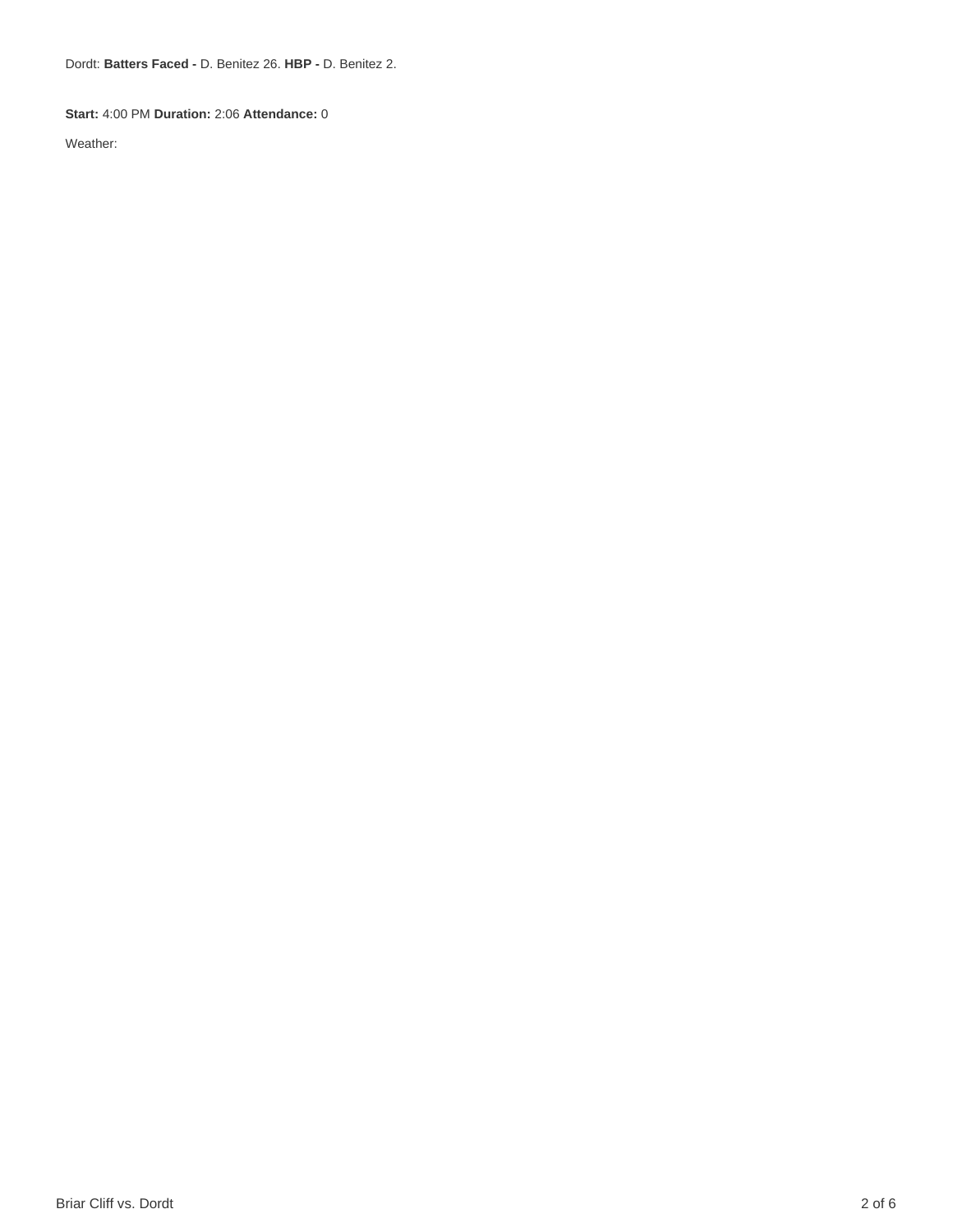Dordt: **Batters Faced -** D. Benitez 26. **HBP -** D. Benitez 2.

#### **Start:** 4:00 PM **Duration:** 2:06 **Attendance:** 0

Weather: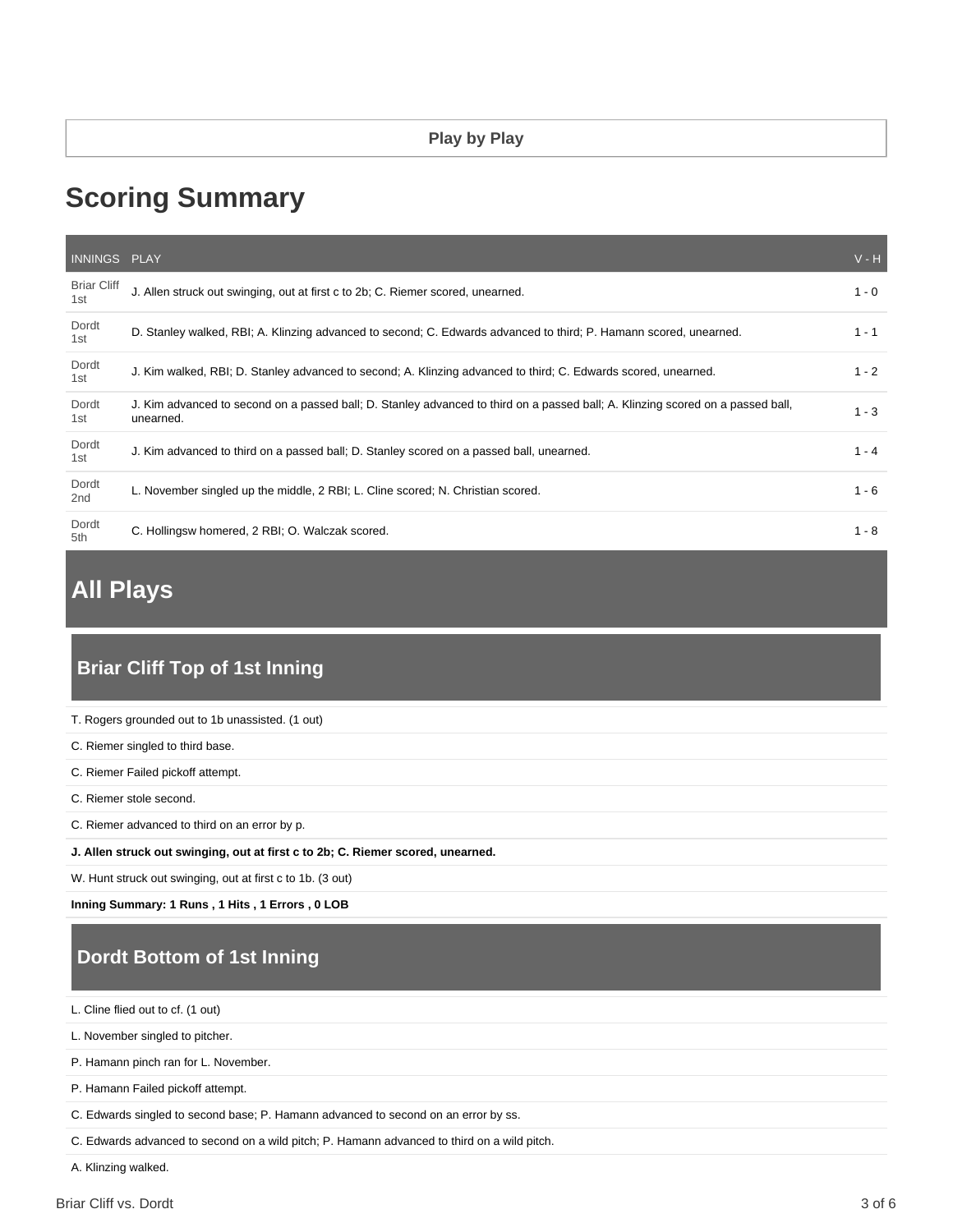# **Scoring Summary**

| INNINGS PLAY              |                                                                                                                                              | $V - H$ |
|---------------------------|----------------------------------------------------------------------------------------------------------------------------------------------|---------|
| <b>Briar Cliff</b><br>1st | J. Allen struck out swinging, out at first c to 2b; C. Riemer scored, unearned.                                                              | $1 - 0$ |
| Dordt<br>1st              | D. Stanley walked, RBI; A. Klinzing advanced to second; C. Edwards advanced to third; P. Hamann scored, unearned.                            | $1 - 1$ |
| Dordt<br>1st              | J. Kim walked, RBI; D. Stanley advanced to second; A. Klinzing advanced to third; C. Edwards scored, unearned.                               | $1 - 2$ |
| Dordt<br>1st              | J. Kim advanced to second on a passed ball; D. Stanley advanced to third on a passed ball; A. Klinzing scored on a passed ball,<br>unearned. | $1 - 3$ |
| Dordt<br>1st              | J. Kim advanced to third on a passed ball; D. Stanley scored on a passed ball, unearned.                                                     | $1 - 4$ |
| Dordt<br>2nd              | L. November singled up the middle, 2 RBI; L. Cline scored; N. Christian scored.                                                              | $1 - 6$ |
| Dordt<br>5th              | C. Hollingsw homered, 2 RBI; O. Walczak scored.                                                                                              | $1 - 8$ |

# **All Plays**

## **Briar Cliff Top of 1st Inning**

| T. Rogers grounded out to 1b unassisted. (1 out)                                |
|---------------------------------------------------------------------------------|
| C. Riemer singled to third base.                                                |
| C. Riemer Failed pickoff attempt.                                               |
| C. Riemer stole second.                                                         |
| C. Riemer advanced to third on an error by p.                                   |
| J. Allen struck out swinging, out at first c to 2b; C. Riemer scored, unearned. |
| W. Hunt struck out swinging, out at first c to 1b. (3 out)                      |

**Inning Summary: 1 Runs , 1 Hits , 1 Errors , 0 LOB**

# **Dordt Bottom of 1st Inning**

L. Cline flied out to cf. (1 out)

L. November singled to pitcher.

P. Hamann pinch ran for L. November.

P. Hamann Failed pickoff attempt.

C. Edwards singled to second base; P. Hamann advanced to second on an error by ss.

C. Edwards advanced to second on a wild pitch; P. Hamann advanced to third on a wild pitch.

A. Klinzing walked.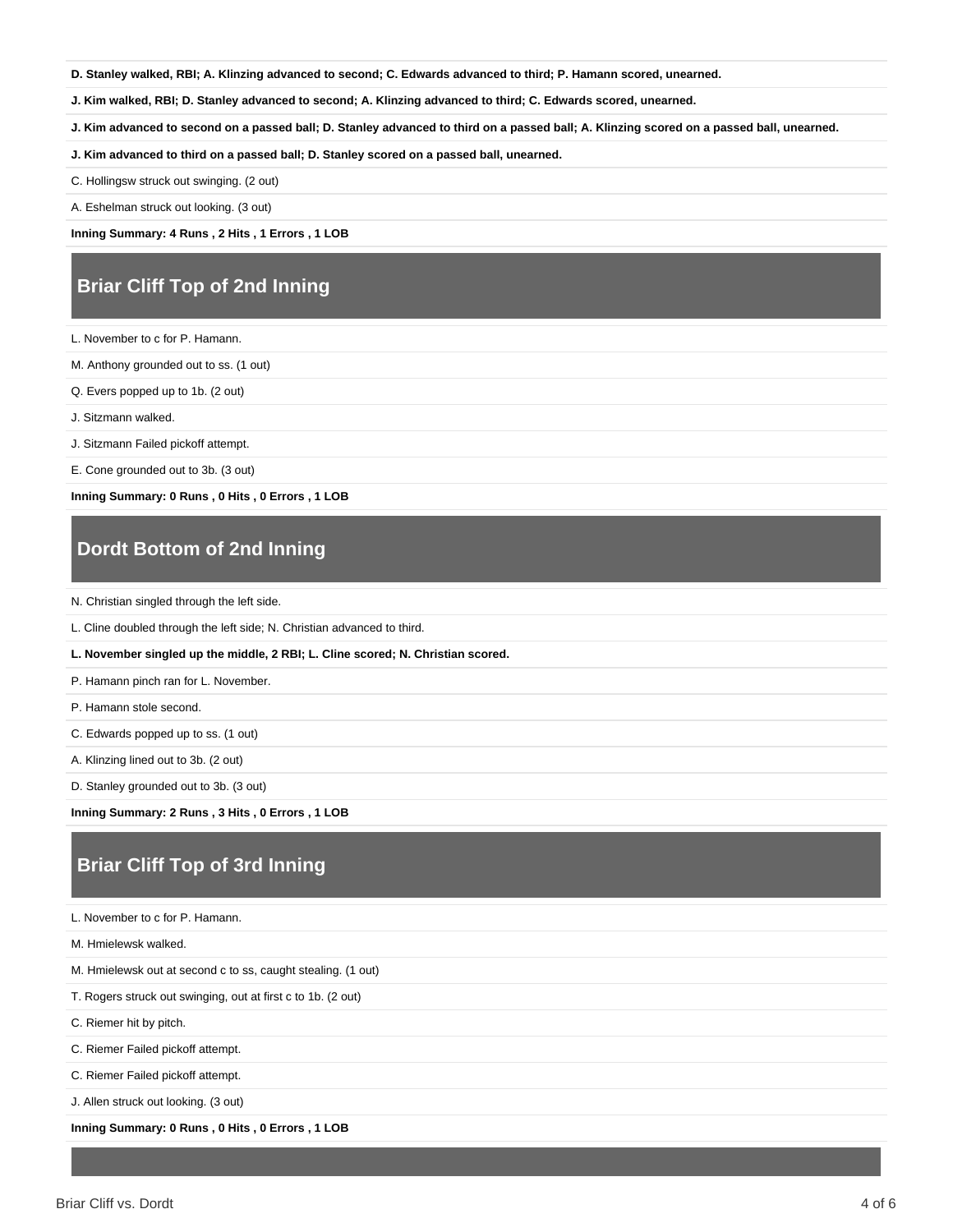**D. Stanley walked, RBI; A. Klinzing advanced to second; C. Edwards advanced to third; P. Hamann scored, unearned.**

**J. Kim walked, RBI; D. Stanley advanced to second; A. Klinzing advanced to third; C. Edwards scored, unearned.**

**J. Kim advanced to second on a passed ball; D. Stanley advanced to third on a passed ball; A. Klinzing scored on a passed ball, unearned.**

**J. Kim advanced to third on a passed ball; D. Stanley scored on a passed ball, unearned.**

C. Hollingsw struck out swinging. (2 out)

A. Eshelman struck out looking. (3 out)

**Inning Summary: 4 Runs , 2 Hits , 1 Errors , 1 LOB**

## **Briar Cliff Top of 2nd Inning**

L. November to c for P. Hamann.

M. Anthony grounded out to ss. (1 out)

Q. Evers popped up to 1b. (2 out)

J. Sitzmann walked.

J. Sitzmann Failed pickoff attempt.

E. Cone grounded out to 3b. (3 out)

**Inning Summary: 0 Runs , 0 Hits , 0 Errors , 1 LOB**

#### **Dordt Bottom of 2nd Inning**

N. Christian singled through the left side.

L. Cline doubled through the left side; N. Christian advanced to third.

#### **L. November singled up the middle, 2 RBI; L. Cline scored; N. Christian scored.**

P. Hamann pinch ran for L. November.

P. Hamann stole second.

C. Edwards popped up to ss. (1 out)

A. Klinzing lined out to 3b. (2 out)

D. Stanley grounded out to 3b. (3 out)

**Inning Summary: 2 Runs , 3 Hits , 0 Errors , 1 LOB**

## **Briar Cliff Top of 3rd Inning**

L. November to c for P. Hamann.

M. Hmielewsk walked.

M. Hmielewsk out at second c to ss, caught stealing. (1 out)

T. Rogers struck out swinging, out at first c to 1b. (2 out)

C. Riemer hit by pitch.

C. Riemer Failed pickoff attempt.

C. Riemer Failed pickoff attempt.

J. Allen struck out looking. (3 out)

**Inning Summary: 0 Runs , 0 Hits , 0 Errors , 1 LOB**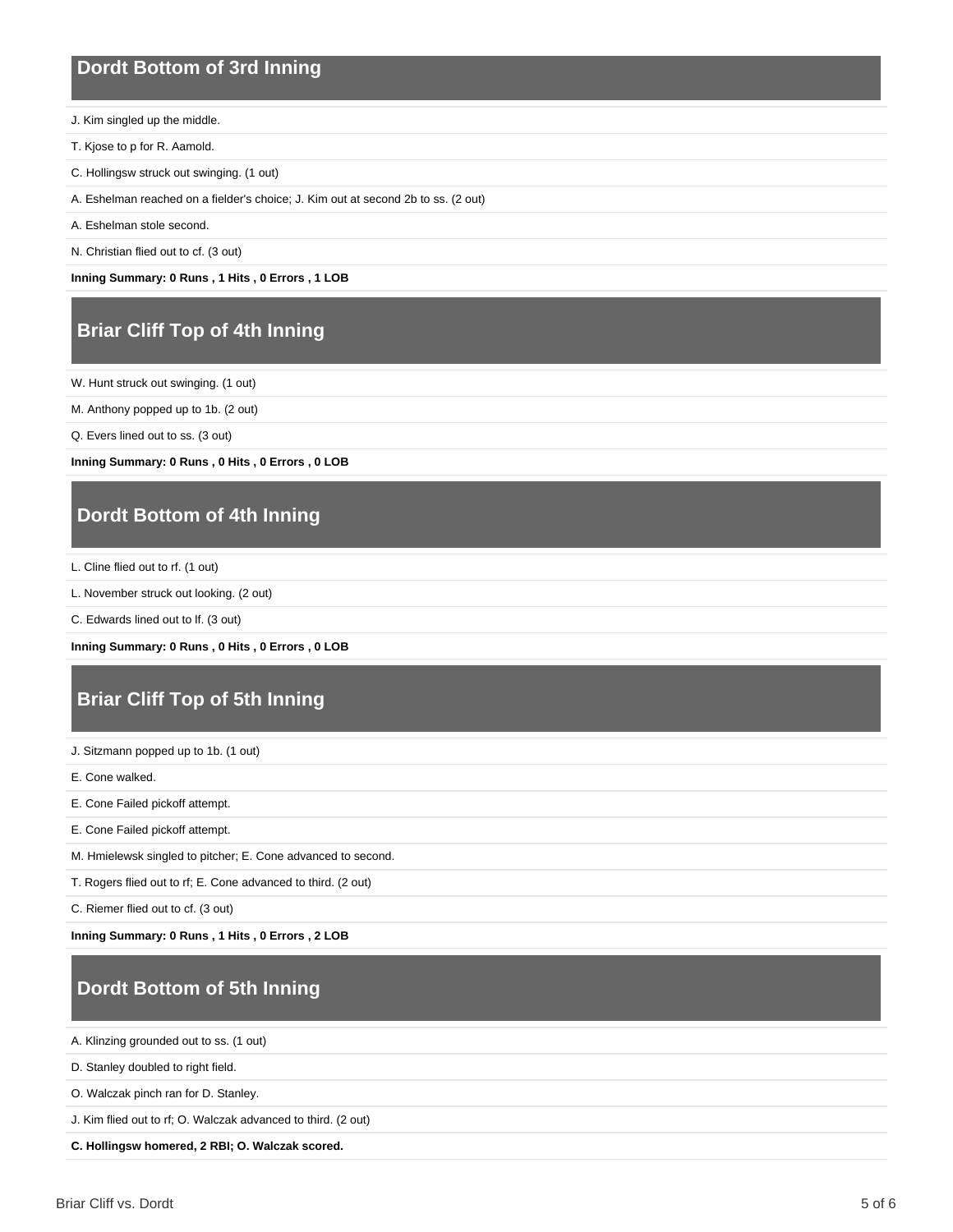#### **Dordt Bottom of 3rd Inning**

- J. Kim singled up the middle.
- T. Kjose to p for R. Aamold.
- C. Hollingsw struck out swinging. (1 out)
- A. Eshelman reached on a fielder's choice; J. Kim out at second 2b to ss. (2 out)
- A. Eshelman stole second.
- N. Christian flied out to cf. (3 out)

**Inning Summary: 0 Runs , 1 Hits , 0 Errors , 1 LOB**

## **Briar Cliff Top of 4th Inning**

W. Hunt struck out swinging. (1 out)

- M. Anthony popped up to 1b. (2 out)
- Q. Evers lined out to ss. (3 out)

**Inning Summary: 0 Runs , 0 Hits , 0 Errors , 0 LOB**

#### **Dordt Bottom of 4th Inning**

L. Cline flied out to rf. (1 out)

L. November struck out looking. (2 out)

C. Edwards lined out to lf. (3 out)

```
Inning Summary: 0 Runs , 0 Hits , 0 Errors , 0 LOB
```
## **Briar Cliff Top of 5th Inning**

J. Sitzmann popped up to 1b. (1 out)

E. Cone walked.

- E. Cone Failed pickoff attempt.
- E. Cone Failed pickoff attempt.
- M. Hmielewsk singled to pitcher; E. Cone advanced to second.
- T. Rogers flied out to rf; E. Cone advanced to third. (2 out)

C. Riemer flied out to cf. (3 out)

**Inning Summary: 0 Runs , 1 Hits , 0 Errors , 2 LOB**

# **Dordt Bottom of 5th Inning**

A. Klinzing grounded out to ss. (1 out)

D. Stanley doubled to right field.

O. Walczak pinch ran for D. Stanley.

J. Kim flied out to rf; O. Walczak advanced to third. (2 out)

**C. Hollingsw homered, 2 RBI; O. Walczak scored.**